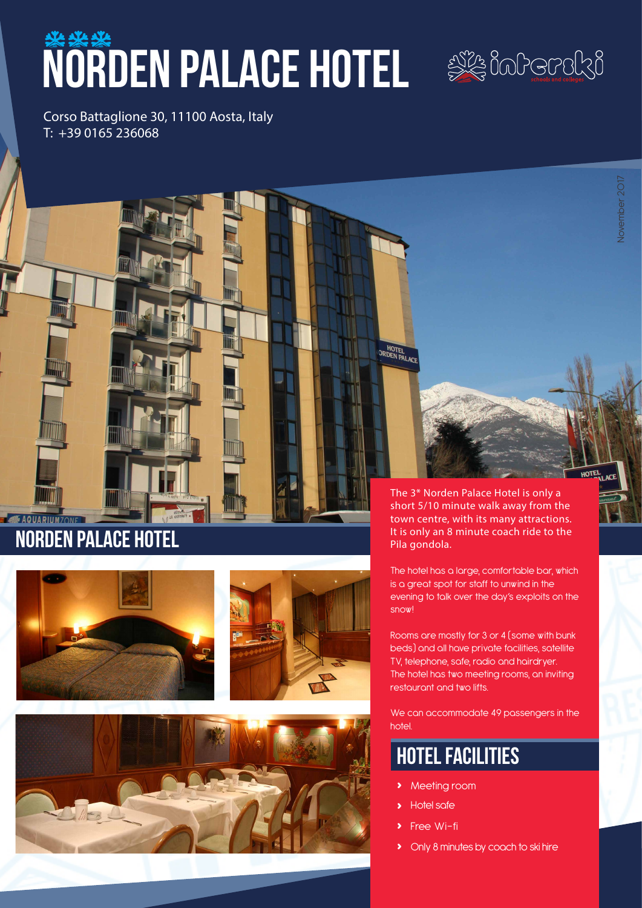# WORDEN PALACE HOTEL SOORSTON



Corso Battaglione 30, 11100 Aosta, Italy T: +39 0165 236068

# norden palace hotel

**SAQUARIUMZONE** 





The 3\* Norden Palace Hotel is only a short 5/10 minute walk away from the town centre, with its many attractions. It is only an 8 minute coach ride to the Pila gondola.

The hotel has a large, comfortable bar, which is a great spot for staff to unwind in the evening to talk over the day's exploits on the snow!

Rooms are mostly for 3 or 4 (some with bunk beds) and all have private facilities, satellite TV, telephone, safe, radio and hairdryer. The hotel has two meeting rooms, an inviting restaurant and two lifts.

We can accommodate 49 passengers in the hotel.

# hotel facilities

- **›** Meeting room
- **›** Hotel safe

HOTEL

- **Free Wi-fi**
- **›** Only 8 minutes by coach to ski hire